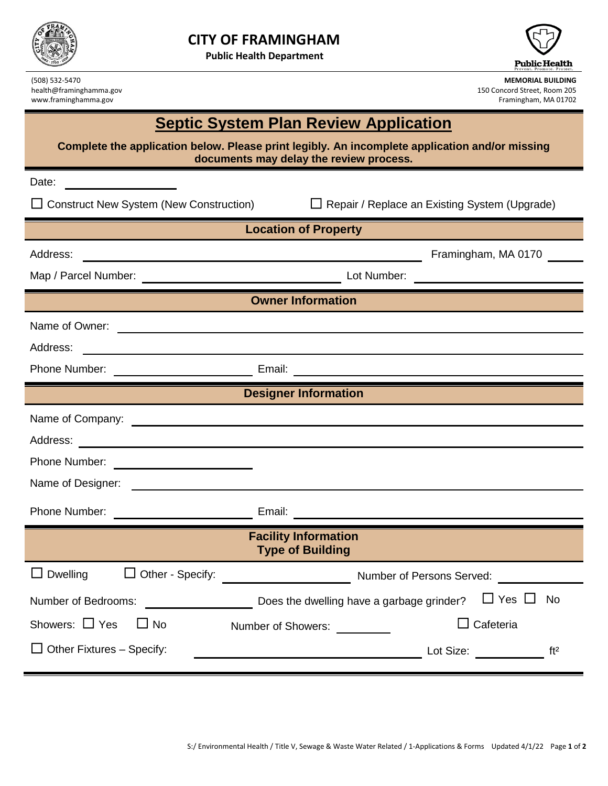

**Public Health Department**



www.framinghamma.gov

(508) 532-5470 **MEMORIAL BUILDING** health@framinghamma.gov 150 Concord Street, Room 205<br>
www.framinghamma.gov 150 Concord Street, Room 205<br>
Framinghamma.gov 150 Concord Street, Room 205

## **Septic System Plan Review Application**

**Complete the application below. Please print legibly. An incomplete application and/or missing documents may delay the review process.**

| Date:                                                                                                                           |                                                                                                                      |                                                                                                                                                                                                                                                  |  |
|---------------------------------------------------------------------------------------------------------------------------------|----------------------------------------------------------------------------------------------------------------------|--------------------------------------------------------------------------------------------------------------------------------------------------------------------------------------------------------------------------------------------------|--|
| $\Box$ Construct New System (New Construction)                                                                                  |                                                                                                                      | $\Box$ Repair / Replace an Existing System (Upgrade)                                                                                                                                                                                             |  |
|                                                                                                                                 |                                                                                                                      | <b>Location of Property</b>                                                                                                                                                                                                                      |  |
| Address:                                                                                                                        |                                                                                                                      | Framingham, MA 0170                                                                                                                                                                                                                              |  |
|                                                                                                                                 | <u> 1980 - Jan Stein Stein Stein Stein Stein Stein Stein Stein Stein Stein Stein Stein Stein Stein Stein Stein S</u> |                                                                                                                                                                                                                                                  |  |
| <b>Owner Information</b>                                                                                                        |                                                                                                                      |                                                                                                                                                                                                                                                  |  |
|                                                                                                                                 |                                                                                                                      |                                                                                                                                                                                                                                                  |  |
| Address:<br><u> 1989 - Johann Barbara, martin da basar a shekara 1989 - An tsaran a shekara 1989 - An tsara 1989 - An tsara</u> |                                                                                                                      |                                                                                                                                                                                                                                                  |  |
|                                                                                                                                 |                                                                                                                      |                                                                                                                                                                                                                                                  |  |
|                                                                                                                                 |                                                                                                                      | <b>Designer Information</b>                                                                                                                                                                                                                      |  |
|                                                                                                                                 |                                                                                                                      |                                                                                                                                                                                                                                                  |  |
|                                                                                                                                 |                                                                                                                      |                                                                                                                                                                                                                                                  |  |
| Phone Number: <u>____________________</u>                                                                                       |                                                                                                                      |                                                                                                                                                                                                                                                  |  |
|                                                                                                                                 |                                                                                                                      |                                                                                                                                                                                                                                                  |  |
|                                                                                                                                 |                                                                                                                      | Phone Number: <u>Denomination and Email:</u> Email: Denomination and Contract and Contract and Contract and Contract and Contract and Contract and Contract and Contract and Contract and Contract and Contract and Contract and Co              |  |
|                                                                                                                                 |                                                                                                                      | <b>Facility Information</b><br><b>Type of Building</b>                                                                                                                                                                                           |  |
|                                                                                                                                 |                                                                                                                      |                                                                                                                                                                                                                                                  |  |
| Number of Bedrooms:                                                                                                             |                                                                                                                      | Does the dwelling have a garbage grinder? $\Box$ Yes $\Box$<br><b>No</b>                                                                                                                                                                         |  |
| Showers: $\Box$ Yes<br>$\Box$ No                                                                                                |                                                                                                                      | $\Box$ Cafeteria<br>Number of Showers:                                                                                                                                                                                                           |  |
| $\Box$ Other Fixtures – Specify:                                                                                                |                                                                                                                      | Lot Size: The Contract of the Contract of the Contract of the Contract of the Contract of the Contract of the Contract of the Contract of the Contract of the Contract of the Contract of the Contract of the Contract of the<br>ft <sup>2</sup> |  |